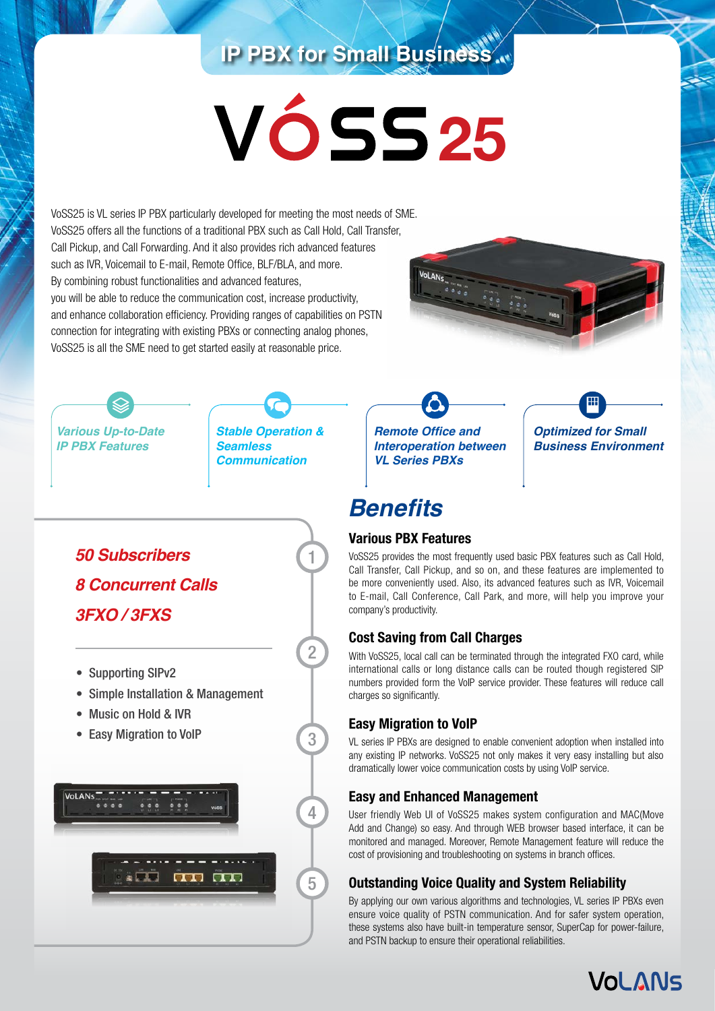## **IP PBX for Small Business**

# **25**

VoSS25 is VL series IP PBX particularly developed for meeting the most needs of SME. VoSS25 offers all the functions of a traditional PBX such as Call Hold, Call Transfer, Call Pickup, and Call Forwarding. And it also provides rich advanced features such as IVR, Voicemail to E-mail, Remote Office, BLF/BLA, and more. By combining robust functionalities and advanced features, you will be able to reduce the communication cost, increase productivity, and enhance collaboration efficiency. Providing ranges of capabilities on PSTN connection for integrating with existing PBXs or connecting analog phones, VoSS25 is all the SME need to get started easily at reasonable price.



*Various Up-to-Date IP PBX Features*



*Stable Operation & Seamless Communication*

1

2

3

4

5

**Remote Office and** *Interoperation between VL Series PBXs*



## **Benefits**

#### **Various PBX Features**

VoSS25 provides the most frequently used basic PBX features such as Call Hold, Call Transfer, Call Pickup, and so on, and these features are implemented to be more conveniently used. Also, its advanced features such as IVR, Voicemail to E-mail, Call Conference, Call Park, and more, will help you improve your company's productivity.

### **Cost Saving from Call Charges**

With VoSS25, local call can be terminated through the integrated FXO card, while international calls or long distance calls can be routed though registered SIP numbers provided form the VoIP service provider. These features will reduce call charges so significantly.

### **Easy Migration to VoIP**

VL series IP PBXs are designed to enable convenient adoption when installed into any existing IP networks. VoSS25 not only makes it very easy installing but also dramatically lower voice communication costs by using VoIP service.

#### **Easy and Enhanced Management**

User friendly Web UI of VoSS25 makes system configuration and MAC(Move Add and Change) so easy. And through WEB browser based interface, it can be monitored and managed. Moreover, Remote Management feature will reduce the cost of provisioning and troubleshooting on systems in branch offices.

### **Outstanding Voice Quality and System Reliability**

By applying our own various algorithms and technologies, VL series IP PBXs even ensure voice quality of PSTN communication. And for safer system operation, these systems also have built-in temperature sensor, SuperCap for power-failure, and PSTN backup to ensure their operational reliabilities.

**VOL ANS** 

*50 Subscribers 8 Concurrent Calls 3FXO / 3FXS*

- Supporting SIPv2
- Simple Installation & Management
- Music on Hold & IVR
- Easy Migration to VoIP